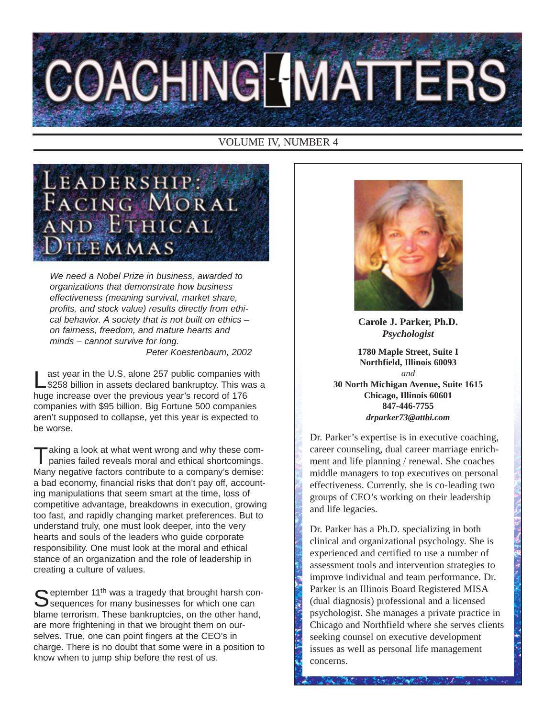

### VOLUME IV, NUMBER 4



We need a Nobel Prize in business, awarded to organizations that demonstrate how business effectiveness (meaning survival, market share, profits, and stock value) results directly from ethical behavior. A society that is not built on ethics – on fairness, freedom, and mature hearts and minds – cannot survive for long. Peter Koestenbaum, 2002

ast year in the U.S. alone 257 public companies with \$258 billion in assets declared bankruptcy. This was a huge increase over the previous year's record of 176 companies with \$95 billion. Big Fortune 500 companies aren't supposed to collapse, yet this year is expected to be worse.

Taking a look at what went wrong and why these com-panies failed reveals moral and ethical shortcomings. Many negative factors contribute to a company's demise: a bad economy, financial risks that don't pay off, accounting manipulations that seem smart at the time, loss of competitive advantage, breakdowns in execution, growing too fast, and rapidly changing market preferences. But to understand truly, one must look deeper, into the very hearts and souls of the leaders who guide corporate responsibility. One must look at the moral and ethical stance of an organization and the role of leadership in creating a culture of values.

 $\bigcap$  eptember 11<sup>th</sup> was a tragedy that brought harsh con- $\bigcup$  sequences for many businesses for which one can blame terrorism. These bankruptcies, on the other hand, are more frightening in that we brought them on ourselves. True, one can point fingers at the CEO's in charge. There is no doubt that some were in a position to know when to jump ship before the rest of us.



**Carole J. Parker, Ph.D.** *Psychologist*

**1780 Maple Street, Suite I Northfield, Illinois 60093** *and* **30 North Michigan Avenue, Suite 1615 Chicago, Illinois 60601 847-446-7755** *drparker73@attbi.com*

Dr. Parker's expertise is in executive coaching, career counseling, dual career marriage enrichment and life planning / renewal. She coaches middle managers to top executives on personal effectiveness. Currently, she is co-leading two groups of CEO's working on their leadership and life legacies.

Dr. Parker has a Ph.D. specializing in both clinical and organizational psychology. She is experienced and certified to use a number of assessment tools and intervention strategies to improve individual and team performance. Dr. Parker is an Illinois Board Registered MISA (dual diagnosis) professional and a licensed psychologist. She manages a private practice in Chicago and Northfield where she serves clients seeking counsel on executive development issues as well as personal life management concerns.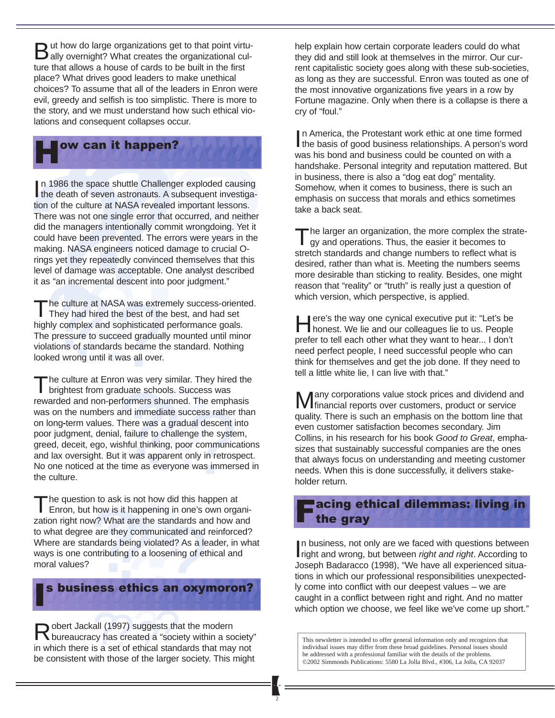But how do large organizations get to that point virtu-<br>Bally overnight? What creates the organizational culture that allows a house of cards to be built in the first place? What drives good leaders to make unethical choices? To assume that all of the leaders in Enron were evil, greedy and selfish is too simplistic. There is more to the story, and we must understand how such ethical violations and consequent collapses occur.



**Example 18 Consequent contapses seculi.**<br> **Provided and the space shuttle Challenger exploded causing**<br>
the death of seven astronauts. A subsequent investiga-<br>
tion of the culture at NASA revealed important lessons.<br>
Ther In 1986 the space shuttle Challenger exploded causing<br>the death of seven astronauts. A subsequent investiga-In 1986 the space shuttle Challenger exploded causing tion of the culture at NASA revealed important lessons. There was not one single error that occurred, and neither did the managers intentionally commit wrongdoing. Yet it could have been prevented. The errors were years in the making. NASA engineers noticed damage to crucial Orings yet they repeatedly convinced themselves that this level of damage was acceptable. One analyst described it as "an incremental descent into poor judgment."

er or daniage was acceptable.<br>
s "an incremental descent into<br>
The culture at NASA was extre<br>
They had hired the best of the<br>
hly complex and sophisticated<br>
e pressure to succeed graduall<br>
lations of standards became th<br>
k The culture at NASA was extremely success-oriented. They had hired the best of the best, and had set highly complex and sophisticated performance goals. The pressure to succeed gradually mounted until minor violations of standards became the standard. Nothing looked wrong until it was all over.

on was very similar. They nired<br>duate schools. Success was<br>rrformers shunned. The empha<br>and immediate success rather<br>There was a gradual descent i<br>I, failure to challenge the syste<br>ishful thinking, poor communic:<br>it it was The culture at Enron was very similar. They hired the brightest from graduate schools. Success was rewarded and non-performers shunned. The emphasis was on the numbers and immediate success rather than on long term values. There was a gradual descent into poor judgment, denial, failure to challenge the system, greed, deceit, ego, wishful thinking, poor communications and lax oversight. But it was apparent only in retrospect. No one noticed at the time as everyone was immersed in the culture.

The question to ask is not how did this happen at<br>
Enron, but how is it happening in one's own organi-<br>
zation right now? What are the standards and how and<br>
to what degree are they communicated and reinforced?<br>
Where are zation right now? What are the standards and how and to what degree are they communicated and reinforced? Where are standards being violated? As a leader, in what ways is one contributing to a loosening of ethical and moral values?

### I s business ethics an oxymoron?

all (1997) suggests tha<br>cy has created a "socie<br>s a set of ethical stand<br>vith those of the larger Robert Jackall (1997) suggests that the modern bureaucracy has created a "society within a society" in which there is a set of ethical standards that may not be consistent with those of the larger society. This might help explain how certain corporate leaders could do what they did and still look at themselves in the mirror. Our current capitalistic society goes along with these sub-societies, as long as they are successful. Enron was touted as one of the most innovative organizations five years in a row by Fortune magazine. Only when there is a collapse is there a cry of "foul."

In America, the Protestant work ethic at one time formed<br>the basis of good business relationships. A person's word n America, the Protestant work ethic at one time formed was his bond and business could be counted on with a handshake. Personal integrity and reputation mattered. But in business, there is also a "dog eat dog" mentality. Somehow, when it comes to business, there is such an emphasis on success that morals and ethics sometimes take a back seat.

The larger an organization, the more complex the strategy and operations. Thus, the easier it becomes to stretch standards and change numbers to reflect what is desired, rather than what is. Meeting the numbers seems more desirable than sticking to reality. Besides, one might reason that "reality" or "truth" is really just a question of which version, which perspective, is applied.

Here's the way one cynical executive put it: "Let's be honest. We lie and our colleagues lie to us. People prefer to tell each other what they want to hear... I don't need perfect people, I need successful people who can think for themselves and get the job done. If they need to tell a little white lie, I can live with that."

Many corporations value stock prices and dividend and financial reports over customers, product or service quality. There is such an emphasis on the bottom line that even customer satisfaction becomes secondary. Jim Collins, in his research for his book Good to Great, emphasizes that sustainably successful companies are the ones that always focus on understanding and meeting customer needs. When this is done successfully, it delivers stakeholder return.

### acing ethical dilemmas: living in the gray

In business, not only are we faced with questions between right and wrong, but between right and right. According to n business, not only are we faced with questions between Joseph Badaracco (1998), "We have all experienced situations in which our professional responsibilities unexpectedly come into conflict with our deepest values – we are caught in a conflict between right and right. And no matter which option we choose, we feel like we've come up short."

This newsletter is intended to offer general information only and recognizes that individual issues may differ from these broad guidelines. Personal issues should be addressed with a professional familiar with the details of the problems. ©2002 Simmonds Publications: 5580 La Jolla Blvd., #306, La Jolla, CA 92037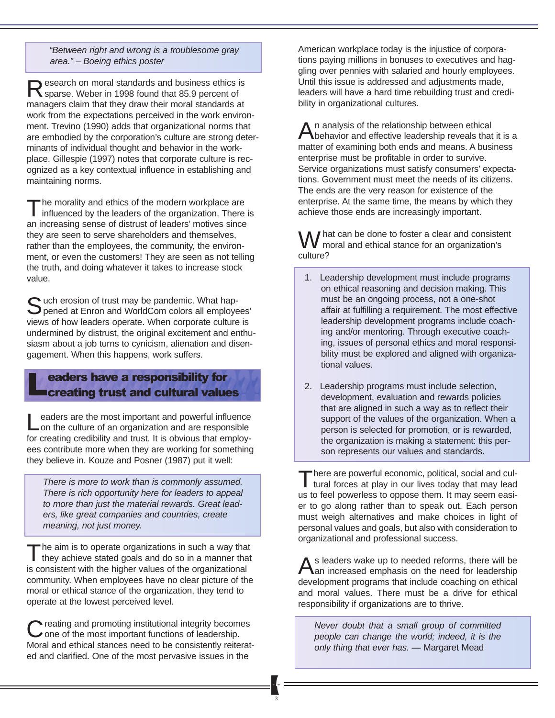"Between right and wrong is a troublesome gray area." – Boeing ethics poster

Research on moral standards and business ethics is sparse. Weber in 1998 found that 85.9 percent of managers claim that they draw their moral standards at work from the expectations perceived in the work environment. Trevino (1990) adds that organizational norms that are embodied by the corporation's culture are strong determinants of individual thought and behavior in the workplace. Gillespie (1997) notes that corporate culture is recognized as a key contextual influence in establishing and maintaining norms.

The morality and ethics of the modern workplace are influenced by the leaders of the organization. There is an increasing sense of distrust of leaders' motives since they are seen to serve shareholders and themselves, rather than the employees, the community, the environment, or even the customers! They are seen as not telling the truth, and doing whatever it takes to increase stock value.

Such erosion of trust may be pandemic. What hap-<br>Spened at Enron and WorldCom colors all employees' views of how leaders operate. When corporate culture is undermined by distrust, the original excitement and enthusiasm about a job turns to cynicism, alienation and disengagement. When this happens, work suffers.

## **Leaders have a responsibility for<br>Creating trust and cultural values**

eaders are the most important and powerful influence on the culture of an organization and are responsible for creating credibility and trust. It is obvious that employees contribute more when they are working for something they believe in. Kouze and Posner (1987) put it well:

There is more to work than is commonly assumed. There is rich opportunity here for leaders to appeal to more than just the material rewards. Great leaders, like great companies and countries, create meaning, not just money.

The aim is to operate organizations in such a way that they achieve stated goals and do so in a manner that is consistent with the higher values of the organizational community. When employees have no clear picture of the moral or ethical stance of the organization, they tend to operate at the lowest perceived level.

C reating and promoting institutional integrity becomes<br>
C one of the most important functions of leadership. Moral and ethical stances need to be consistently reiterated and clarified. One of the most pervasive issues in the

American workplace today is the injustice of corporations paying millions in bonuses to executives and haggling over pennies with salaried and hourly employees. Until this issue is addressed and adjustments made, leaders will have a hard time rebuilding trust and credibility in organizational cultures.

An analysis of the relationship between ethical<br>behavior and effective leadership reveals that it is a matter of examining both ends and means. A business enterprise must be profitable in order to survive. Service organizations must satisfy consumers' expectations. Government must meet the needs of its citizens. The ends are the very reason for existence of the enterprise. At the same time, the means by which they achieve those ends are increasingly important.

I hat can be done to foster a clear and consistent moral and ethical stance for an organization's culture?

- 1. Leadership development must include programs on ethical reasoning and decision making. This must be an ongoing process, not a one-shot affair at fulfilling a requirement. The most effective leadership development programs include coaching and/or mentoring. Through executive coaching, issues of personal ethics and moral responsibility must be explored and aligned with organizational values.
- 2. Leadership programs must include selection, development, evaluation and rewards policies that are aligned in such a way as to reflect their support of the values of the organization. When a person is selected for promotion, or is rewarded, the organization is making a statement: this person represents our values and standards.

"here are powerful economic, political, social and cultural forces at play in our lives today that may lead us to feel powerless to oppose them. It may seem easier to go along rather than to speak out. Each person must weigh alternatives and make choices in light of personal values and goals, but also with consideration to organizational and professional success.

As leaders wake up to needed reforms, there will be an increased emphasis on the need for leadership development programs that include coaching on ethical and moral values. There must be a drive for ethical responsibility if organizations are to thrive.

Never doubt that a small group of committed people can change the world; indeed, it is the only thing that ever has. — Margaret Mead